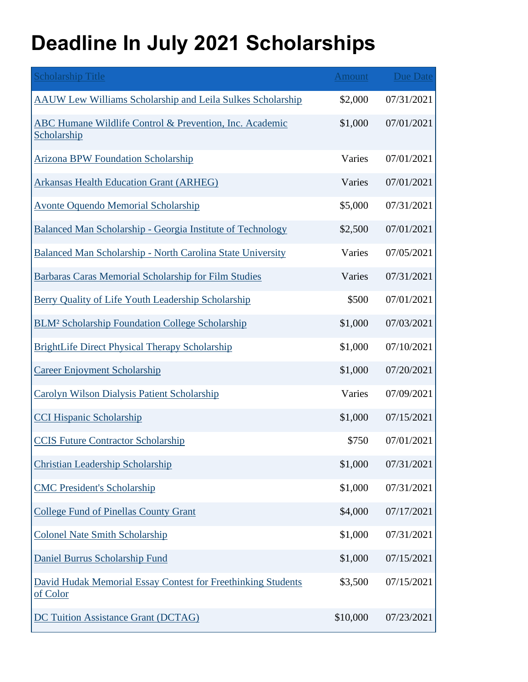## **Deadline In July 2021 Scholarships**

| <b>Scholarship Title</b>                                                 | <b>Amount</b> | <b>Due Date</b> |
|--------------------------------------------------------------------------|---------------|-----------------|
| AAUW Lew Williams Scholarship and Leila Sulkes Scholarship               | \$2,000       | 07/31/2021      |
| ABC Humane Wildlife Control & Prevention, Inc. Academic<br>Scholarship   | \$1,000       | 07/01/2021      |
| <b>Arizona BPW Foundation Scholarship</b>                                | Varies        | 07/01/2021      |
| <b>Arkansas Health Education Grant (ARHEG)</b>                           | Varies        | 07/01/2021      |
| <b>Avonte Oquendo Memorial Scholarship</b>                               | \$5,000       | 07/31/2021      |
| Balanced Man Scholarship - Georgia Institute of Technology               | \$2,500       | 07/01/2021      |
| Balanced Man Scholarship - North Carolina State University               | Varies        | 07/05/2021      |
| <b>Barbaras Caras Memorial Scholarship for Film Studies</b>              | Varies        | 07/31/2021      |
| Berry Quality of Life Youth Leadership Scholarship                       | \$500         | 07/01/2021      |
| <b>BLM<sup>2</sup> Scholarship Foundation College Scholarship</b>        | \$1,000       | 07/03/2021      |
| <b>BrightLife Direct Physical Therapy Scholarship</b>                    | \$1,000       | 07/10/2021      |
| <b>Career Enjoyment Scholarship</b>                                      | \$1,000       | 07/20/2021      |
| Carolyn Wilson Dialysis Patient Scholarship                              | Varies        | 07/09/2021      |
| <b>CCI Hispanic Scholarship</b>                                          | \$1,000       | 07/15/2021      |
| <b>CCIS Future Contractor Scholarship</b>                                | \$750         | 07/01/2021      |
| <b>Christian Leadership Scholarship</b>                                  | \$1,000       | 07/31/2021      |
| <b>CMC President's Scholarship</b>                                       | \$1,000       | 07/31/2021      |
| <b>College Fund of Pinellas County Grant</b>                             | \$4,000       | 07/17/2021      |
| <b>Colonel Nate Smith Scholarship</b>                                    | \$1,000       | 07/31/2021      |
| Daniel Burrus Scholarship Fund                                           | \$1,000       | 07/15/2021      |
| David Hudak Memorial Essay Contest for Freethinking Students<br>of Color | \$3,500       | 07/15/2021      |
| <b>DC Tuition Assistance Grant (DCTAG)</b>                               | \$10,000      | 07/23/2021      |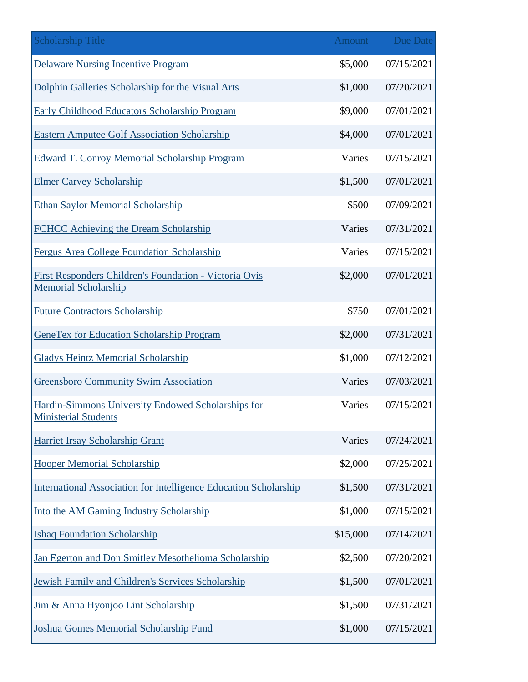| <b>Scholarship Title</b>                                                              | <b>Amount</b> | Due Date   |
|---------------------------------------------------------------------------------------|---------------|------------|
| <b>Delaware Nursing Incentive Program</b>                                             | \$5,000       | 07/15/2021 |
| Dolphin Galleries Scholarship for the Visual Arts                                     | \$1,000       | 07/20/2021 |
| Early Childhood Educators Scholarship Program                                         | \$9,000       | 07/01/2021 |
| <b>Eastern Amputee Golf Association Scholarship</b>                                   | \$4,000       | 07/01/2021 |
| <b>Edward T. Conroy Memorial Scholarship Program</b>                                  | Varies        | 07/15/2021 |
| <b>Elmer Carvey Scholarship</b>                                                       | \$1,500       | 07/01/2021 |
| <b>Ethan Saylor Memorial Scholarship</b>                                              | \$500         | 07/09/2021 |
| FCHCC Achieving the Dream Scholarship                                                 | Varies        | 07/31/2021 |
| Fergus Area College Foundation Scholarship                                            | Varies        | 07/15/2021 |
| First Responders Children's Foundation - Victoria Ovis<br><b>Memorial Scholarship</b> | \$2,000       | 07/01/2021 |
| <b>Future Contractors Scholarship</b>                                                 | \$750         | 07/01/2021 |
| <b>GeneTex for Education Scholarship Program</b>                                      | \$2,000       | 07/31/2021 |
| <b>Gladys Heintz Memorial Scholarship</b>                                             | \$1,000       | 07/12/2021 |
| <b>Greensboro Community Swim Association</b>                                          | Varies        | 07/03/2021 |
| Hardin-Simmons University Endowed Scholarships for<br><b>Ministerial Students</b>     | Varies        | 07/15/2021 |
| Harriet Irsay Scholarship Grant                                                       | Varies        | 07/24/2021 |
| <b>Hooper Memorial Scholarship</b>                                                    | \$2,000       | 07/25/2021 |
| <b>International Association for Intelligence Education Scholarship</b>               | \$1,500       | 07/31/2021 |
| Into the AM Gaming Industry Scholarship                                               | \$1,000       | 07/15/2021 |
| <b>Ishaq Foundation Scholarship</b>                                                   | \$15,000      | 07/14/2021 |
| Jan Egerton and Don Smitley Mesothelioma Scholarship                                  | \$2,500       | 07/20/2021 |
| Jewish Family and Children's Services Scholarship                                     | \$1,500       | 07/01/2021 |
| Jim & Anna Hyonjoo Lint Scholarship                                                   | \$1,500       | 07/31/2021 |
| Joshua Gomes Memorial Scholarship Fund                                                | \$1,000       | 07/15/2021 |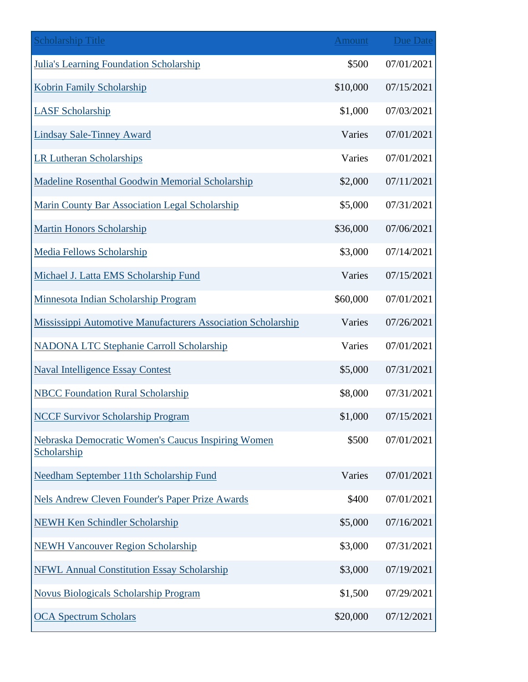| <b>Scholarship Title</b>                                          | <b>Amount</b> | <b>Due Date</b> |
|-------------------------------------------------------------------|---------------|-----------------|
| <b>Julia's Learning Foundation Scholarship</b>                    | \$500         | 07/01/2021      |
| <b>Kobrin Family Scholarship</b>                                  | \$10,000      | 07/15/2021      |
| <b>LASF Scholarship</b>                                           | \$1,000       | 07/03/2021      |
| <b>Lindsay Sale-Tinney Award</b>                                  | Varies        | 07/01/2021      |
| <b>LR Lutheran Scholarships</b>                                   | Varies        | 07/01/2021      |
| <b>Madeline Rosenthal Goodwin Memorial Scholarship</b>            | \$2,000       | 07/11/2021      |
| Marin County Bar Association Legal Scholarship                    | \$5,000       | 07/31/2021      |
| <b>Martin Honors Scholarship</b>                                  | \$36,000      | 07/06/2021      |
| <b>Media Fellows Scholarship</b>                                  | \$3,000       | 07/14/2021      |
| Michael J. Latta EMS Scholarship Fund                             | Varies        | 07/15/2021      |
| Minnesota Indian Scholarship Program                              | \$60,000      | 07/01/2021      |
| Mississippi Automotive Manufacturers Association Scholarship      | Varies        | 07/26/2021      |
| <b>NADONA LTC Stephanie Carroll Scholarship</b>                   | Varies        | 07/01/2021      |
| <b>Naval Intelligence Essay Contest</b>                           | \$5,000       | 07/31/2021      |
| <b>NBCC Foundation Rural Scholarship</b>                          | \$8,000       | 07/31/2021      |
| <b>NCCF Survivor Scholarship Program</b>                          | \$1,000       | 07/15/2021      |
| Nebraska Democratic Women's Caucus Inspiring Women<br>Scholarship | \$500         | 07/01/2021      |
| Needham September 11th Scholarship Fund                           | Varies        | 07/01/2021      |
| <b>Nels Andrew Cleven Founder's Paper Prize Awards</b>            | \$400         | 07/01/2021      |
| <b>NEWH Ken Schindler Scholarship</b>                             | \$5,000       | 07/16/2021      |
| <b>NEWH Vancouver Region Scholarship</b>                          | \$3,000       | 07/31/2021      |
| <b>NFWL Annual Constitution Essay Scholarship</b>                 | \$3,000       | 07/19/2021      |
| Novus Biologicals Scholarship Program                             | \$1,500       | 07/29/2021      |
| <b>OCA Spectrum Scholars</b>                                      | \$20,000      | 07/12/2021      |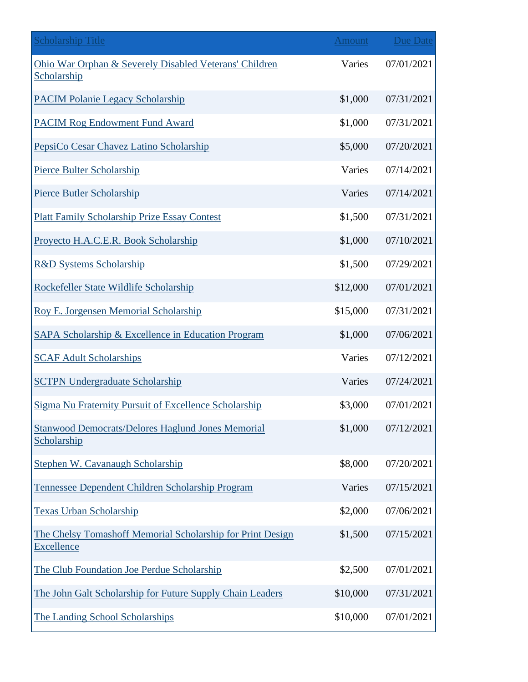| <b>Scholarship Title</b>                                                        | <b>Amount</b> | <b>Due Date</b> |
|---------------------------------------------------------------------------------|---------------|-----------------|
| Ohio War Orphan & Severely Disabled Veterans' Children<br>Scholarship           | Varies        | 07/01/2021      |
| <b>PACIM Polanie Legacy Scholarship</b>                                         | \$1,000       | 07/31/2021      |
| <b>PACIM Rog Endowment Fund Award</b>                                           | \$1,000       | 07/31/2021      |
| PepsiCo Cesar Chavez Latino Scholarship                                         | \$5,000       | 07/20/2021      |
| Pierce Bulter Scholarship                                                       | Varies        | 07/14/2021      |
| Pierce Butler Scholarship                                                       | Varies        | 07/14/2021      |
| <b>Platt Family Scholarship Prize Essay Contest</b>                             | \$1,500       | 07/31/2021      |
| Proyecto H.A.C.E.R. Book Scholarship                                            | \$1,000       | 07/10/2021      |
| <b>R&amp;D Systems Scholarship</b>                                              | \$1,500       | 07/29/2021      |
| Rockefeller State Wildlife Scholarship                                          | \$12,000      | 07/01/2021      |
| <b>Roy E. Jorgensen Memorial Scholarship</b>                                    | \$15,000      | 07/31/2021      |
| SAPA Scholarship & Excellence in Education Program                              | \$1,000       | 07/06/2021      |
| <b>SCAF Adult Scholarships</b>                                                  | Varies        | 07/12/2021      |
| <b>SCTPN Undergraduate Scholarship</b>                                          | Varies        | 07/24/2021      |
| Sigma Nu Fraternity Pursuit of Excellence Scholarship                           | \$3,000       | 07/01/2021      |
| <b>Stanwood Democrats/Delores Haglund Jones Memorial</b><br>Scholarship         | \$1,000       | 07/12/2021      |
| Stephen W. Cavanaugh Scholarship                                                | \$8,000       | 07/20/2021      |
| Tennessee Dependent Children Scholarship Program                                | Varies        | 07/15/2021      |
| <b>Texas Urban Scholarship</b>                                                  | \$2,000       | 07/06/2021      |
| The Chelsy Tomashoff Memorial Scholarship for Print Design<br><b>Excellence</b> | \$1,500       | 07/15/2021      |
| The Club Foundation Joe Perdue Scholarship                                      | \$2,500       | 07/01/2021      |
| The John Galt Scholarship for Future Supply Chain Leaders                       | \$10,000      | 07/31/2021      |
| The Landing School Scholarships                                                 | \$10,000      | 07/01/2021      |